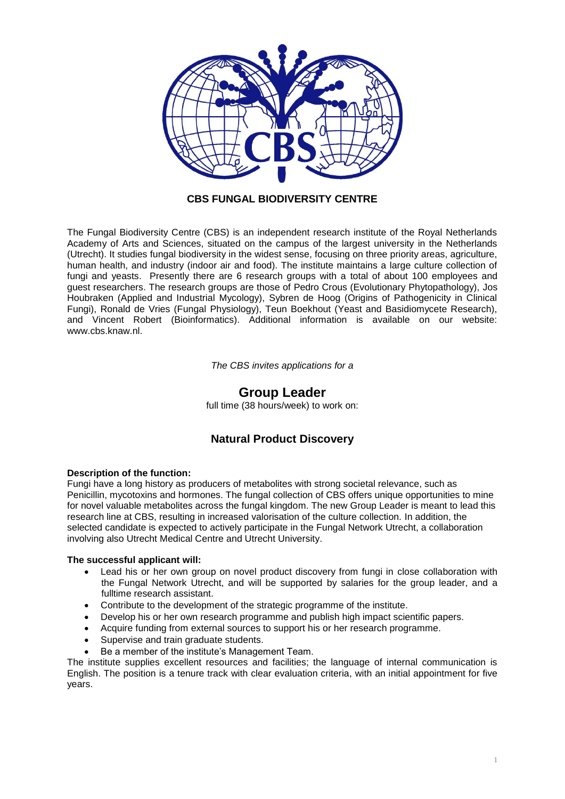

### **CBS FUNGAL BIODIVERSITY CENTRE**

The Fungal Biodiversity Centre (CBS) is an independent research institute of the Royal Netherlands Academy of Arts and Sciences, situated on the campus of the largest university in the Netherlands (Utrecht). It studies fungal biodiversity in the widest sense, focusing on three priority areas, agriculture, human health, and industry (indoor air and food). The institute maintains a large culture collection of fungi and yeasts. Presently there are 6 research groups with a total of about 100 employees and guest researchers. The research groups are those of Pedro Crous (Evolutionary Phytopathology), Jos Houbraken (Applied and Industrial Mycology), Sybren de Hoog (Origins of Pathogenicity in Clinical Fungi), Ronald de Vries (Fungal Physiology), Teun Boekhout (Yeast and Basidiomycete Research), and Vincent Robert (Bioinformatics). Additional information is available on our website: [www.cbs.knaw.nl.](http://www.cbs.knaw.nl/)

*The CBS invites applications for a*

# **Group Leader**

full time (38 hours/week) to work on:

## **Natural Product Discovery**

### **Description of the function:**

Fungi have a long history as producers of metabolites with strong societal relevance, such as Penicillin, mycotoxins and hormones. The fungal collection of CBS offers unique opportunities to mine for novel valuable metabolites across the fungal kingdom. The new Group Leader is meant to lead this research line at CBS, resulting in increased valorisation of the culture collection. In addition, the selected candidate is expected to actively participate in the Fungal Network Utrecht, a collaboration involving also Utrecht Medical Centre and Utrecht University.

### **The successful applicant will:**

- Lead his or her own group on novel product discovery from fungi in close collaboration with the Fungal Network Utrecht, and will be supported by salaries for the group leader, and a fulltime research assistant.
- Contribute to the development of the strategic programme of the institute.
- Develop his or her own research programme and publish high impact scientific papers.
- Acquire funding from external sources to support his or her research programme.
- Supervise and train graduate students.
- Be a member of the institute's Management Team.

The institute supplies excellent resources and facilities; the language of internal communication is English. The position is a tenure track with clear evaluation criteria, with an initial appointment for five years.